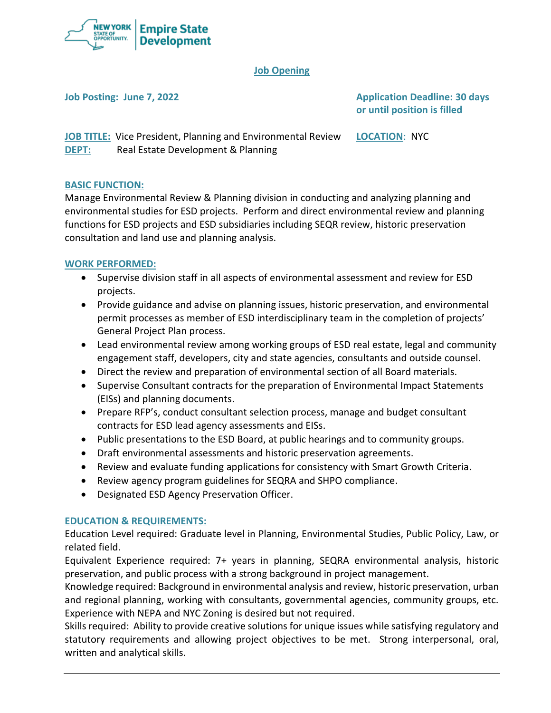

# **Job Opening**

**Job Posting: June 7, 2022 Application Deadline: 30 days or until position is filled**

**JOB TITLE:** Vice President, Planning and Environmental Review **LOCATION**: NYC **DEPT:** Real Estate Development & Planning

## **BASIC FUNCTION:**

Manage Environmental Review & Planning division in conducting and analyzing planning and environmental studies for ESD projects. Perform and direct environmental review and planning functions for ESD projects and ESD subsidiaries including SEQR review, historic preservation consultation and land use and planning analysis.

# **WORK PERFORMED:**

- Supervise division staff in all aspects of environmental assessment and review for ESD projects.
- Provide guidance and advise on planning issues, historic preservation, and environmental permit processes as member of ESD interdisciplinary team in the completion of projects' General Project Plan process.
- Lead environmental review among working groups of ESD real estate, legal and community engagement staff, developers, city and state agencies, consultants and outside counsel.
- Direct the review and preparation of environmental section of all Board materials.
- Supervise Consultant contracts for the preparation of Environmental Impact Statements (EISs) and planning documents.
- Prepare RFP's, conduct consultant selection process, manage and budget consultant contracts for ESD lead agency assessments and EISs.
- Public presentations to the ESD Board, at public hearings and to community groups.
- Draft environmental assessments and historic preservation agreements.
- Review and evaluate funding applications for consistency with Smart Growth Criteria.
- Review agency program guidelines for SEQRA and SHPO compliance.
- Designated ESD Agency Preservation Officer.

## **EDUCATION & REQUIREMENTS:**

Education Level required: Graduate level in Planning, Environmental Studies, Public Policy, Law, or related field.

Equivalent Experience required: 7+ years in planning, SEQRA environmental analysis, historic preservation, and public process with a strong background in project management.

Knowledge required: Background in environmental analysis and review, historic preservation, urban and regional planning, working with consultants, governmental agencies, community groups, etc. Experience with NEPA and NYC Zoning is desired but not required.

Skills required: Ability to provide creative solutions for unique issues while satisfying regulatory and statutory requirements and allowing project objectives to be met. Strong interpersonal, oral, written and analytical skills.